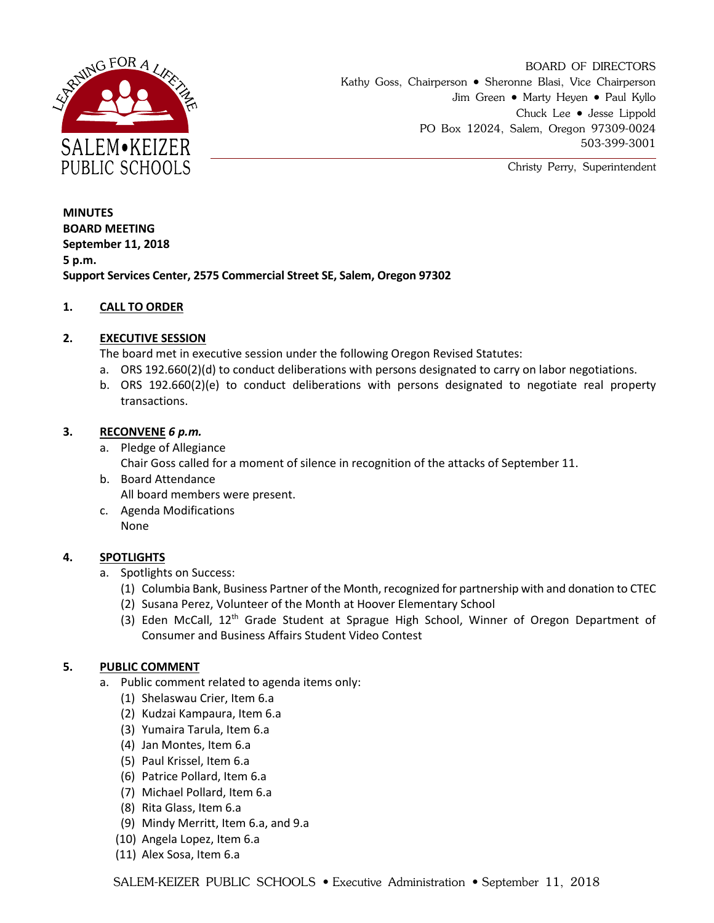

BOARD OF DIRECTORS Kathy Goss, Chairperson • Sheronne Blasi, Vice Chairperson Jim Green • Marty Heyen • Paul Kyllo Chuck Lee Jesse Lippold PO Box 12024, Salem, Oregon 97309-0024 503-399-3001

Christy Perry, Superintendent

**MINUTES BOARD MEETING September 11, 2018 5 p.m. Support Services Center, 2575 Commercial Street SE, Salem, Oregon 97302**

## **1. CALL TO ORDER**

# **2. EXECUTIVE SESSION**

The board met in executive session under the following Oregon Revised Statutes:

- a. ORS 192.660(2)(d) to conduct deliberations with persons designated to carry on labor negotiations.
- b. ORS 192.660(2)(e) to conduct deliberations with persons designated to negotiate real property transactions.

## **3. RECONVENE** *6 p.m.*

- a. Pledge of Allegiance Chair Goss called for a moment of silence in recognition of the attacks of September 11.
- b. Board Attendance All board members were present.
- c. Agenda Modifications None

## **4. SPOTLIGHTS**

- a. Spotlights on Success:
	- (1) Columbia Bank, Business Partner of the Month, recognized for partnership with and donation to CTEC
	- (2) Susana Perez, Volunteer of the Month at Hoover Elementary School
	- (3) Eden McCall, 12<sup>th</sup> Grade Student at Sprague High School, Winner of Oregon Department of Consumer and Business Affairs Student Video Contest

## **5. PUBLIC COMMENT**

- a. Public comment related to agenda items only:
	- (1) Shelaswau Crier, Item 6.a
	- (2) Kudzai Kampaura, Item 6.a
	- (3) Yumaira Tarula, Item 6.a
	- (4) Jan Montes, Item 6.a
	- (5) Paul Krissel, Item 6.a
	- (6) Patrice Pollard, Item 6.a
	- (7) Michael Pollard, Item 6.a
	- (8) Rita Glass, Item 6.a
	- (9) Mindy Merritt, Item 6.a, and 9.a
	- (10) Angela Lopez, Item 6.a
	- (11) Alex Sosa, Item 6.a

SALEM-KEIZER PUBLIC SCHOOLS •• Executive Administration • September 11, 2018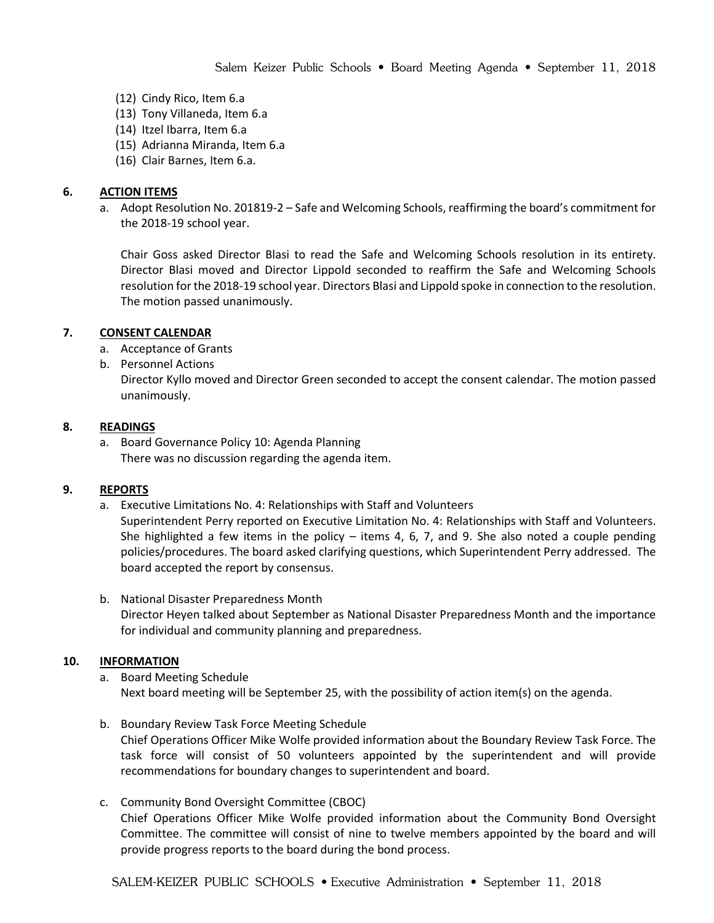- (12) Cindy Rico, Item 6.a
- (13) Tony Villaneda, Item 6.a
- (14) Itzel Ibarra, Item 6.a
- (15) Adrianna Miranda, Item 6.a
- (16) Clair Barnes, Item 6.a.

#### **6. ACTION ITEMS**

a. Adopt Resolution No. 201819-2 – Safe and Welcoming Schools, reaffirming the board's commitment for the 2018-19 school year.

Chair Goss asked Director Blasi to read the Safe and Welcoming Schools resolution in its entirety. Director Blasi moved and Director Lippold seconded to reaffirm the Safe and Welcoming Schools resolution for the 2018-19 school year. Directors Blasi and Lippold spoke in connection to the resolution. The motion passed unanimously.

#### **7. CONSENT CALENDAR**

- a. Acceptance of Grants
- b. Personnel Actions

Director Kyllo moved and Director Green seconded to accept the consent calendar. The motion passed unanimously.

#### **8. READINGS**

a. Board Governance Policy 10: Agenda Planning There was no discussion regarding the agenda item.

### **9. REPORTS**

a. Executive Limitations No. 4: Relationships with Staff and Volunteers

Superintendent Perry reported on Executive Limitation No. 4: Relationships with Staff and Volunteers. She highlighted a few items in the policy – items 4, 6, 7, and 9. She also noted a couple pending policies/procedures. The board asked clarifying questions, which Superintendent Perry addressed. The board accepted the report by consensus.

b. National Disaster Preparedness Month Director Heyen talked about September as National Disaster Preparedness Month and the importance for individual and community planning and preparedness.

### **10. INFORMATION**

- a. Board Meeting Schedule Next board meeting will be September 25, with the possibility of action item(s) on the agenda.
- b. Boundary Review Task Force Meeting Schedule Chief Operations Officer Mike Wolfe provided information about the Boundary Review Task Force. The task force will consist of 50 volunteers appointed by the superintendent and will provide recommendations for boundary changes to superintendent and board.
- c. Community Bond Oversight Committee (CBOC) Chief Operations Officer Mike Wolfe provided information about the Community Bond Oversight Committee. The committee will consist of nine to twelve members appointed by the board and will provide progress reports to the board during the bond process.